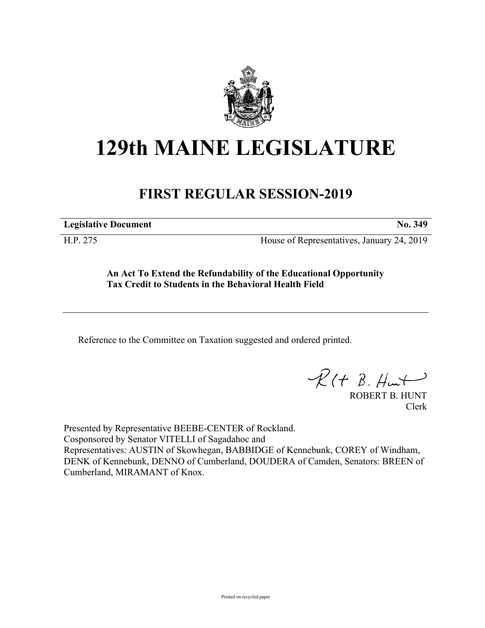

## **129th MAINE LEGISLATURE**

## **FIRST REGULAR SESSION-2019**

**Legislative Document No. 349**

H.P. 275 House of Representatives, January 24, 2019

**An Act To Extend the Refundability of the Educational Opportunity Tax Credit to Students in the Behavioral Health Field**

Reference to the Committee on Taxation suggested and ordered printed.

 $R(H B. H<sup>u</sup>)$ 

ROBERT B. HUNT Clerk

Presented by Representative BEEBE-CENTER of Rockland. Cosponsored by Senator VITELLI of Sagadahoc and Representatives: AUSTIN of Skowhegan, BABBIDGE of Kennebunk, COREY of Windham, DENK of Kennebunk, DENNO of Cumberland, DOUDERA of Camden, Senators: BREEN of Cumberland, MIRAMANT of Knox.